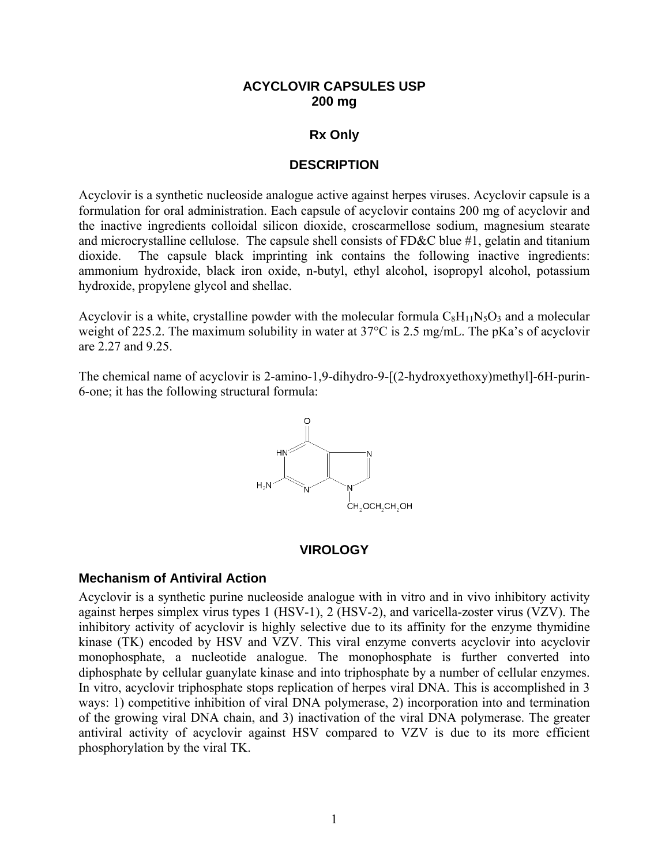#### **ACYCLOVIR CAPSULES USP 200 mg**

#### **Rx Only**

#### **DESCRIPTION**

Acyclovir is a synthetic nucleoside analogue active against herpes viruses. Acyclovir capsule is a formulation for oral administration. Each capsule of acyclovir contains 200 mg of acyclovir and the inactive ingredients colloidal silicon dioxide, croscarmellose sodium, magnesium stearate and microcrystalline cellulose. The capsule shell consists of FD&C blue #1, gelatin and titanium dioxide. The capsule black imprinting ink contains the following inactive ingredients: ammonium hydroxide, black iron oxide, n-butyl, ethyl alcohol, isopropyl alcohol, potassium hydroxide, propylene glycol and shellac.

Acyclovir is a white, crystalline powder with the molecular formula  $C_8H_{11}N_5O_3$  and a molecular weight of 225.2. The maximum solubility in water at 37<sup>o</sup>C is 2.5 mg/mL. The pKa's of acyclovir are 2.27 and 9.25.

The chemical name of acyclovir is 2-amino-1,9-dihydro-9-[(2-hydroxyethoxy)methyl]-6H-purin-6-one; it has the following structural formula:



#### **VIROLOGY**

#### **Mechanism of Antiviral Action**

Acyclovir is a synthetic purine nucleoside analogue with in vitro and in vivo inhibitory activity against herpes simplex virus types 1 (HSV-1), 2 (HSV-2), and varicella-zoster virus (VZV). The inhibitory activity of acyclovir is highly selective due to its affinity for the enzyme thymidine kinase (TK) encoded by HSV and VZV. This viral enzyme converts acyclovir into acyclovir monophosphate, a nucleotide analogue. The monophosphate is further converted into diphosphate by cellular guanylate kinase and into triphosphate by a number of cellular enzymes. In vitro, acyclovir triphosphate stops replication of herpes viral DNA. This is accomplished in 3 ways: 1) competitive inhibition of viral DNA polymerase, 2) incorporation into and termination of the growing viral DNA chain, and 3) inactivation of the viral DNA polymerase. The greater antiviral activity of acyclovir against HSV compared to VZV is due to its more efficient phosphorylation by the viral TK.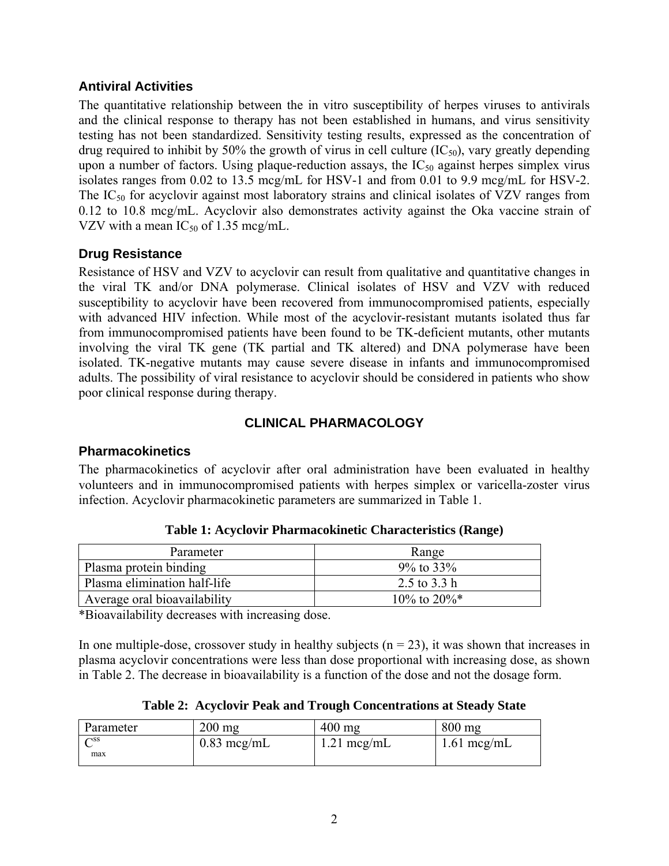### **Antiviral Activities**

The quantitative relationship between the in vitro susceptibility of herpes viruses to antivirals and the clinical response to therapy has not been established in humans, and virus sensitivity testing has not been standardized. Sensitivity testing results, expressed as the concentration of drug required to inhibit by 50% the growth of virus in cell culture  $(IC_{50})$ , vary greatly depending upon a number of factors. Using plaque-reduction assays, the  $IC_{50}$  against herpes simplex virus isolates ranges from 0.02 to 13.5 mcg/mL for HSV-1 and from 0.01 to 9.9 mcg/mL for HSV-2. The  $IC_{50}$  for acyclovir against most laboratory strains and clinical isolates of VZV ranges from 0.12 to 10.8 mcg/mL. Acyclovir also demonstrates activity against the Oka vaccine strain of VZV with a mean  $IC_{50}$  of 1.35 mcg/mL.

## **Drug Resistance**

Resistance of HSV and VZV to acyclovir can result from qualitative and quantitative changes in the viral TK and/or DNA polymerase. Clinical isolates of HSV and VZV with reduced susceptibility to acyclovir have been recovered from immunocompromised patients, especially with advanced HIV infection. While most of the acyclovir-resistant mutants isolated thus far from immunocompromised patients have been found to be TK-deficient mutants, other mutants involving the viral TK gene (TK partial and TK altered) and DNA polymerase have been isolated. TK-negative mutants may cause severe disease in infants and immunocompromised adults. The possibility of viral resistance to acyclovir should be considered in patients who show poor clinical response during therapy.

# **CLINICAL PHARMACOLOGY**

## **Pharmacokinetics**

The pharmacokinetics of acyclovir after oral administration have been evaluated in healthy volunteers and in immunocompromised patients with herpes simplex or varicella-zoster virus infection. Acyclovir pharmacokinetic parameters are summarized in Table 1.

| Parameter                    | Range                         |
|------------------------------|-------------------------------|
| Plasma protein binding       | $9\%$ to 33%                  |
| Plasma elimination half-life | 2.5 to $3.3 h$                |
| Average oral bioavailability | $10\%$ to $20\%$ <sup>*</sup> |

**Table 1: Acyclovir Pharmacokinetic Characteristics (Range)**

\*Bioavailability decreases with increasing dose.

In one multiple-dose, crossover study in healthy subjects ( $n = 23$ ), it was shown that increases in plasma acyclovir concentrations were less than dose proportional with increasing dose, as shown in Table 2. The decrease in bioavailability is a function of the dose and not the dosage form.

| <b>Table 2: Acyclovir Peak and Trough Concentrations at Steady State</b> |  |
|--------------------------------------------------------------------------|--|
|--------------------------------------------------------------------------|--|

| Parameter        | $200$ mg      | $400$ mg              | $800$ mg              |
|------------------|---------------|-----------------------|-----------------------|
| $\sim$ ss<br>max | $0.83$ mcg/mL | $1.21 \text{~mcg/mL}$ | $1.61 \text{~mcg/mL}$ |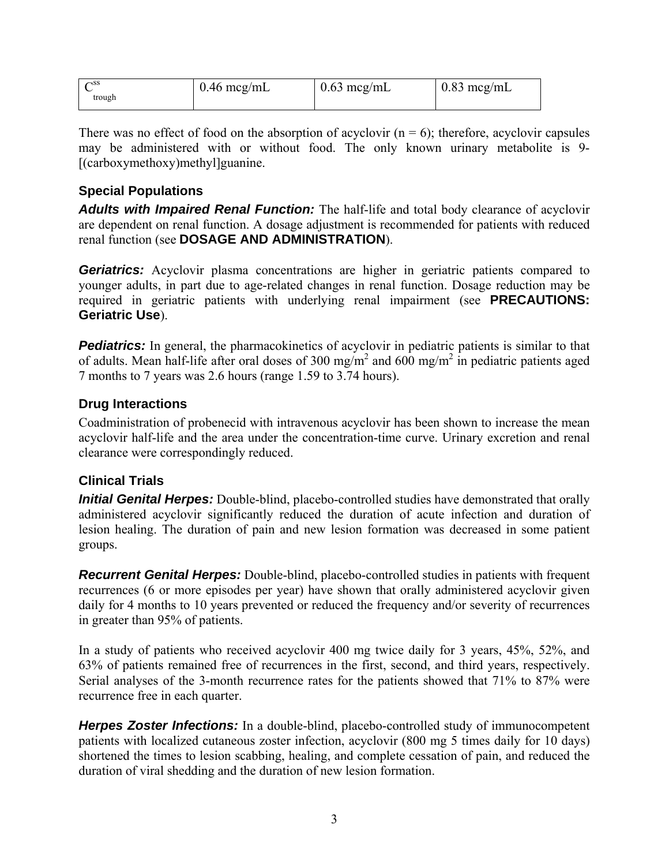| $\sim$ ss<br>trough | $0.46 \text{~mg/mL}$ | $0.63 \text{~mg/mL}$ | $10.83 \text{ meg/mL}$ |
|---------------------|----------------------|----------------------|------------------------|
|                     |                      |                      |                        |

There was no effect of food on the absorption of acyclovir  $(n = 6)$ ; therefore, acyclovir capsules may be administered with or without food. The only known urinary metabolite is 9- [(carboxymethoxy)methyl]guanine.

## **Special Populations**

*Adults with Impaired Renal Function:* The half-life and total body clearance of acyclovir are dependent on renal function. A dosage adjustment is recommended for patients with reduced renal function (see **DOSAGE AND ADMINISTRATION**).

**Geriatrics:** Acyclovir plasma concentrations are higher in geriatric patients compared to younger adults, in part due to age-related changes in renal function. Dosage reduction may be required in geriatric patients with underlying renal impairment (see **PRECAUTIONS: Geriatric Use**).

**Pediatrics:** In general, the pharmacokinetics of acyclovir in pediatric patients is similar to that of adults. Mean half-life after oral doses of 300 mg/m<sup>2</sup> and 600 mg/m<sup>2</sup> in pediatric patients aged 7 months to 7 years was 2.6 hours (range 1.59 to 3.74 hours).

### **Drug Interactions**

Coadministration of probenecid with intravenous acyclovir has been shown to increase the mean acyclovir half-life and the area under the concentration-time curve. Urinary excretion and renal clearance were correspondingly reduced.

## **Clinical Trials**

**Initial Genital Herpes:** Double-blind, placebo-controlled studies have demonstrated that orally administered acyclovir significantly reduced the duration of acute infection and duration of lesion healing. The duration of pain and new lesion formation was decreased in some patient groups.

*Recurrent Genital Herpes:* Double-blind, placebo-controlled studies in patients with frequent recurrences (6 or more episodes per year) have shown that orally administered acyclovir given daily for 4 months to 10 years prevented or reduced the frequency and/or severity of recurrences in greater than 95% of patients.

In a study of patients who received acyclovir 400 mg twice daily for 3 years, 45%, 52%, and 63% of patients remained free of recurrences in the first, second, and third years, respectively. Serial analyses of the 3-month recurrence rates for the patients showed that 71% to 87% were recurrence free in each quarter.

*Herpes Zoster Infections:* In a double-blind, placebo-controlled study of immunocompetent patients with localized cutaneous zoster infection, acyclovir (800 mg 5 times daily for 10 days) shortened the times to lesion scabbing, healing, and complete cessation of pain, and reduced the duration of viral shedding and the duration of new lesion formation.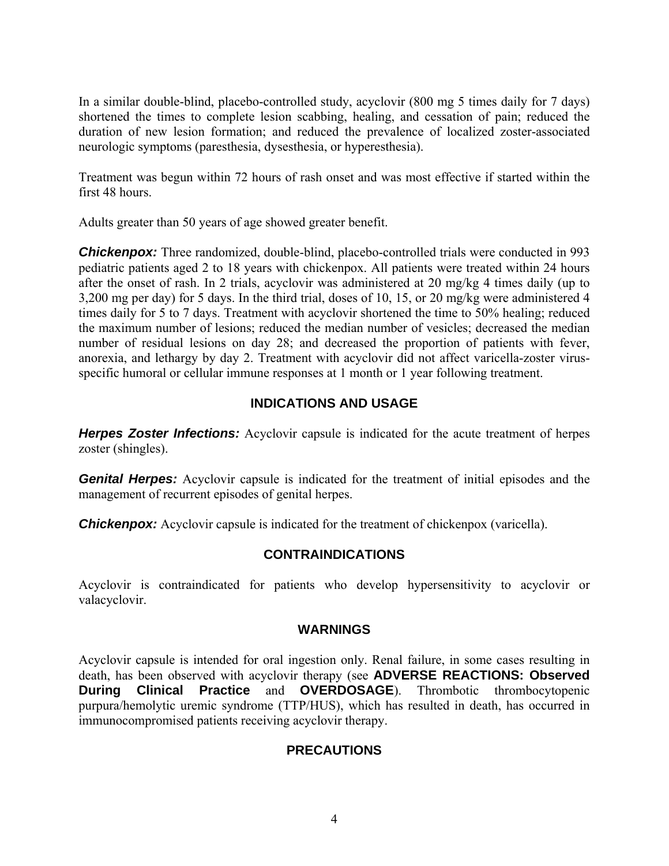In a similar double-blind, placebo-controlled study, acyclovir (800 mg 5 times daily for 7 days) shortened the times to complete lesion scabbing, healing, and cessation of pain; reduced the duration of new lesion formation; and reduced the prevalence of localized zoster-associated neurologic symptoms (paresthesia, dysesthesia, or hyperesthesia).

Treatment was begun within 72 hours of rash onset and was most effective if started within the first 48 hours.

Adults greater than 50 years of age showed greater benefit.

**Chickenpox:** Three randomized, double-blind, placebo-controlled trials were conducted in 993 pediatric patients aged 2 to 18 years with chickenpox. All patients were treated within 24 hours after the onset of rash. In 2 trials, acyclovir was administered at 20 mg/kg 4 times daily (up to 3,200 mg per day) for 5 days. In the third trial, doses of 10, 15, or 20 mg/kg were administered 4 times daily for 5 to 7 days. Treatment with acyclovir shortened the time to 50% healing; reduced the maximum number of lesions; reduced the median number of vesicles; decreased the median number of residual lesions on day 28; and decreased the proportion of patients with fever, anorexia, and lethargy by day 2. Treatment with acyclovir did not affect varicella-zoster virusspecific humoral or cellular immune responses at 1 month or 1 year following treatment.

## **INDICATIONS AND USAGE**

*Herpes Zoster Infections:* Acyclovir capsule is indicated for the acute treatment of herpes zoster (shingles).

*Genital Herpes:* Acyclovir capsule is indicated for the treatment of initial episodes and the management of recurrent episodes of genital herpes.

*Chickenpox:* Acyclovir capsule is indicated for the treatment of chickenpox (varicella).

## **CONTRAINDICATIONS**

Acyclovir is contraindicated for patients who develop hypersensitivity to acyclovir or valacyclovir.

### **WARNINGS**

Acyclovir capsule is intended for oral ingestion only. Renal failure, in some cases resulting in death, has been observed with acyclovir therapy (see **ADVERSE REACTIONS: Observed During Clinical Practice** and **OVERDOSAGE**). Thrombotic thrombocytopenic purpura/hemolytic uremic syndrome (TTP/HUS), which has resulted in death, has occurred in immunocompromised patients receiving acyclovir therapy.

## **PRECAUTIONS**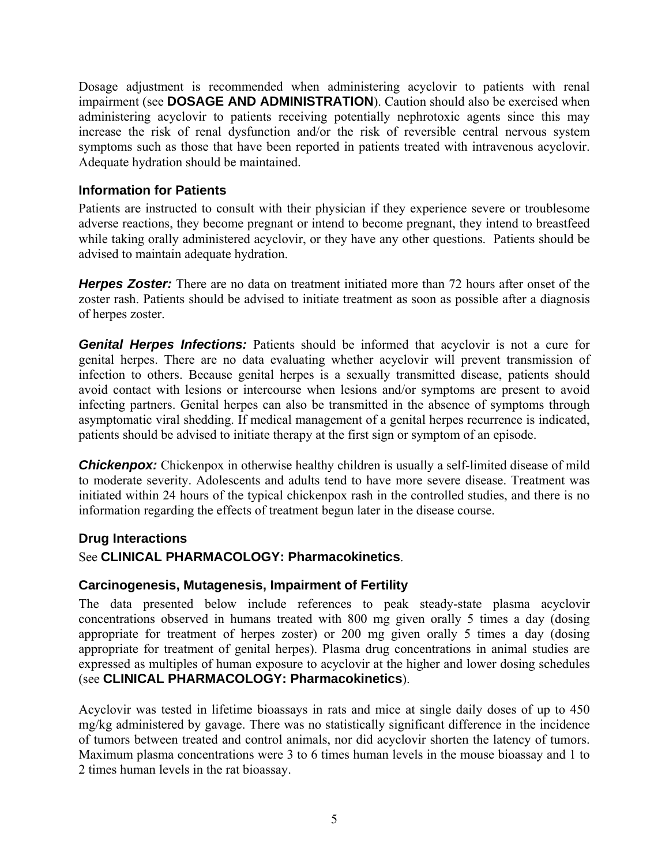Dosage adjustment is recommended when administering acyclovir to patients with renal impairment (see **DOSAGE AND ADMINISTRATION**). Caution should also be exercised when administering acyclovir to patients receiving potentially nephrotoxic agents since this may increase the risk of renal dysfunction and/or the risk of reversible central nervous system symptoms such as those that have been reported in patients treated with intravenous acyclovir. Adequate hydration should be maintained.

### **Information for Patients**

Patients are instructed to consult with their physician if they experience severe or troublesome adverse reactions, they become pregnant or intend to become pregnant, they intend to breastfeed while taking orally administered acyclovir, or they have any other questions. Patients should be advised to maintain adequate hydration.

*Herpes Zoster:* There are no data on treatment initiated more than 72 hours after onset of the zoster rash. Patients should be advised to initiate treatment as soon as possible after a diagnosis of herpes zoster.

*Genital Herpes Infections:* Patients should be informed that acyclovir is not a cure for genital herpes. There are no data evaluating whether acyclovir will prevent transmission of infection to others. Because genital herpes is a sexually transmitted disease, patients should avoid contact with lesions or intercourse when lesions and/or symptoms are present to avoid infecting partners. Genital herpes can also be transmitted in the absence of symptoms through asymptomatic viral shedding. If medical management of a genital herpes recurrence is indicated, patients should be advised to initiate therapy at the first sign or symptom of an episode.

**Chickenpox:** Chickenpox in otherwise healthy children is usually a self-limited disease of mild to moderate severity. Adolescents and adults tend to have more severe disease. Treatment was initiated within 24 hours of the typical chickenpox rash in the controlled studies, and there is no information regarding the effects of treatment begun later in the disease course.

### **Drug Interactions**

See **CLINICAL PHARMACOLOGY: Pharmacokinetics**.

### **Carcinogenesis, Mutagenesis, Impairment of Fertility**

The data presented below include references to peak steady-state plasma acyclovir concentrations observed in humans treated with 800 mg given orally 5 times a day (dosing appropriate for treatment of herpes zoster) or 200 mg given orally 5 times a day (dosing appropriate for treatment of genital herpes). Plasma drug concentrations in animal studies are expressed as multiples of human exposure to acyclovir at the higher and lower dosing schedules (see **CLINICAL PHARMACOLOGY: Pharmacokinetics**).

Acyclovir was tested in lifetime bioassays in rats and mice at single daily doses of up to 450 mg/kg administered by gavage. There was no statistically significant difference in the incidence of tumors between treated and control animals, nor did acyclovir shorten the latency of tumors. Maximum plasma concentrations were 3 to 6 times human levels in the mouse bioassay and 1 to 2 times human levels in the rat bioassay.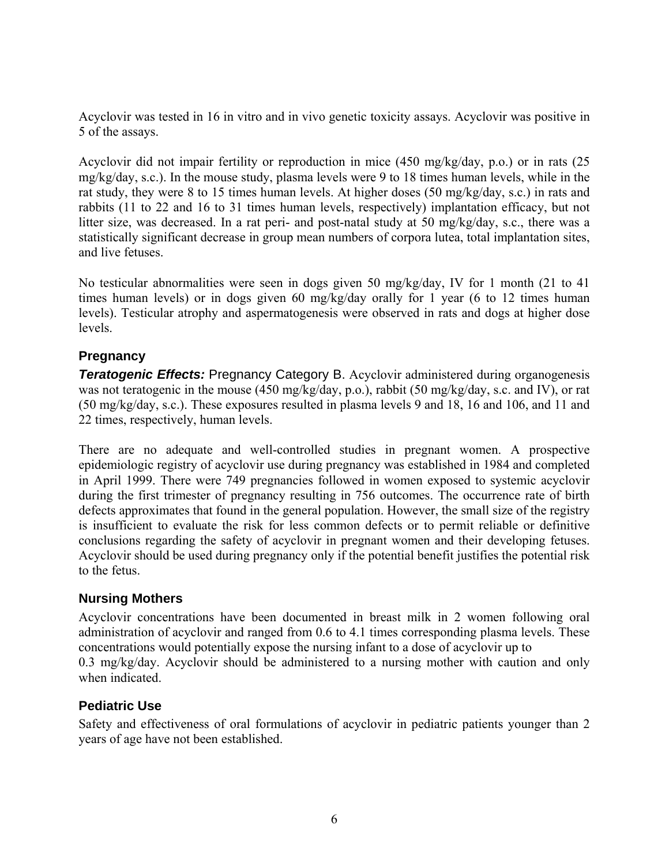Acyclovir was tested in 16 in vitro and in vivo genetic toxicity assays. Acyclovir was positive in 5 of the assays.

Acyclovir did not impair fertility or reproduction in mice (450 mg/kg/day, p.o.) or in rats (25 mg/kg/day, s.c.). In the mouse study, plasma levels were 9 to 18 times human levels, while in the rat study, they were 8 to 15 times human levels. At higher doses (50 mg/kg/day, s.c.) in rats and rabbits (11 to 22 and 16 to 31 times human levels, respectively) implantation efficacy, but not litter size, was decreased. In a rat peri- and post-natal study at 50 mg/kg/day, s.c., there was a statistically significant decrease in group mean numbers of corpora lutea, total implantation sites, and live fetuses.

No testicular abnormalities were seen in dogs given 50 mg/kg/day, IV for 1 month (21 to 41 times human levels) or in dogs given 60 mg/kg/day orally for 1 year (6 to 12 times human levels). Testicular atrophy and aspermatogenesis were observed in rats and dogs at higher dose levels.

## **Pregnancy**

*Teratogenic Effects:* Pregnancy Category B. Acyclovir administered during organogenesis was not teratogenic in the mouse (450 mg/kg/day, p.o.), rabbit (50 mg/kg/day, s.c. and IV), or rat (50 mg/kg/day, s.c.). These exposures resulted in plasma levels 9 and 18, 16 and 106, and 11 and 22 times, respectively, human levels.

There are no adequate and well-controlled studies in pregnant women. A prospective epidemiologic registry of acyclovir use during pregnancy was established in 1984 and completed in April 1999. There were 749 pregnancies followed in women exposed to systemic acyclovir during the first trimester of pregnancy resulting in 756 outcomes. The occurrence rate of birth defects approximates that found in the general population. However, the small size of the registry is insufficient to evaluate the risk for less common defects or to permit reliable or definitive conclusions regarding the safety of acyclovir in pregnant women and their developing fetuses. Acyclovir should be used during pregnancy only if the potential benefit justifies the potential risk to the fetus.

### **Nursing Mothers**

Acyclovir concentrations have been documented in breast milk in 2 women following oral administration of acyclovir and ranged from 0.6 to 4.1 times corresponding plasma levels. These concentrations would potentially expose the nursing infant to a dose of acyclovir up to 0.3 mg/kg/day. Acyclovir should be administered to a nursing mother with caution and only when indicated.

### **Pediatric Use**

Safety and effectiveness of oral formulations of acyclovir in pediatric patients younger than 2 years of age have not been established.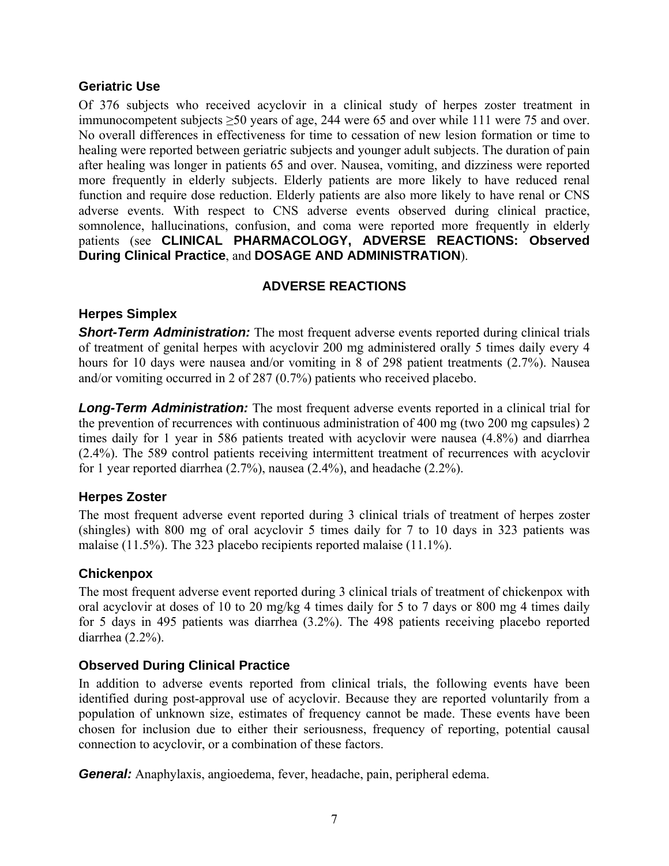### **Geriatric Use**

Of 376 subjects who received acyclovir in a clinical study of herpes zoster treatment in immunocompetent subjects ≥50 years of age, 244 were 65 and over while 111 were 75 and over. No overall differences in effectiveness for time to cessation of new lesion formation or time to healing were reported between geriatric subjects and younger adult subjects. The duration of pain after healing was longer in patients 65 and over. Nausea, vomiting, and dizziness were reported more frequently in elderly subjects. Elderly patients are more likely to have reduced renal function and require dose reduction. Elderly patients are also more likely to have renal or CNS adverse events. With respect to CNS adverse events observed during clinical practice, somnolence, hallucinations, confusion, and coma were reported more frequently in elderly patients (see **CLINICAL PHARMACOLOGY, ADVERSE REACTIONS: Observed During Clinical Practice**, and **DOSAGE AND ADMINISTRATION**).

## **ADVERSE REACTIONS**

### **Herpes Simplex**

**Short-Term Administration:** The most frequent adverse events reported during clinical trials of treatment of genital herpes with acyclovir 200 mg administered orally 5 times daily every 4 hours for 10 days were nausea and/or vomiting in 8 of 298 patient treatments (2.7%). Nausea and/or vomiting occurred in 2 of 287 (0.7%) patients who received placebo.

**Long-Term Administration:** The most frequent adverse events reported in a clinical trial for the prevention of recurrences with continuous administration of 400 mg (two 200 mg capsules) 2 times daily for 1 year in 586 patients treated with acyclovir were nausea (4.8%) and diarrhea (2.4%). The 589 control patients receiving intermittent treatment of recurrences with acyclovir for 1 year reported diarrhea (2.7%), nausea (2.4%), and headache (2.2%).

### **Herpes Zoster**

The most frequent adverse event reported during 3 clinical trials of treatment of herpes zoster (shingles) with 800 mg of oral acyclovir 5 times daily for 7 to 10 days in 323 patients was malaise (11.5%). The 323 placebo recipients reported malaise (11.1%).

## **Chickenpox**

The most frequent adverse event reported during 3 clinical trials of treatment of chickenpox with oral acyclovir at doses of 10 to 20 mg/kg 4 times daily for 5 to 7 days or 800 mg 4 times daily for 5 days in 495 patients was diarrhea (3.2%). The 498 patients receiving placebo reported diarrhea (2.2%).

### **Observed During Clinical Practice**

In addition to adverse events reported from clinical trials, the following events have been identified during post-approval use of acyclovir. Because they are reported voluntarily from a population of unknown size, estimates of frequency cannot be made. These events have been chosen for inclusion due to either their seriousness, frequency of reporting, potential causal connection to acyclovir, or a combination of these factors.

*General:* Anaphylaxis, angioedema, fever, headache, pain, peripheral edema.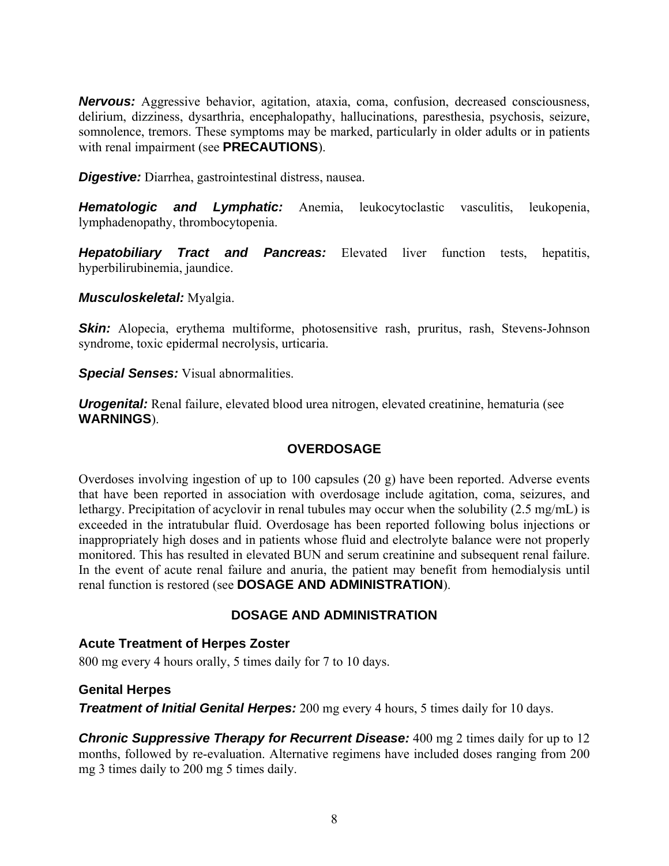**Nervous:** Aggressive behavior, agitation, ataxia, coma, confusion, decreased consciousness, delirium, dizziness, dysarthria, encephalopathy, hallucinations, paresthesia, psychosis, seizure, somnolence, tremors. These symptoms may be marked, particularly in older adults or in patients with renal impairment (see **PRECAUTIONS**).

*Digestive:* Diarrhea, gastrointestinal distress, nausea.

*Hematologic and Lymphatic:* Anemia, leukocytoclastic vasculitis, leukopenia, lymphadenopathy, thrombocytopenia.

*Hepatobiliary Tract and Pancreas:* Elevated liver function tests, hepatitis, hyperbilirubinemia, jaundice.

#### *Musculoskeletal:* Myalgia.

**Skin:** Alopecia, erythema multiforme, photosensitive rash, pruritus, rash, Stevens-Johnson syndrome, toxic epidermal necrolysis, urticaria.

*Special Senses:* Visual abnormalities.

*Urogenital:* Renal failure, elevated blood urea nitrogen, elevated creatinine, hematuria (see **WARNINGS**).

### **OVERDOSAGE**

Overdoses involving ingestion of up to 100 capsules (20 g) have been reported. Adverse events that have been reported in association with overdosage include agitation, coma, seizures, and lethargy. Precipitation of acyclovir in renal tubules may occur when the solubility (2.5 mg/mL) is exceeded in the intratubular fluid. Overdosage has been reported following bolus injections or inappropriately high doses and in patients whose fluid and electrolyte balance were not properly monitored. This has resulted in elevated BUN and serum creatinine and subsequent renal failure. In the event of acute renal failure and anuria, the patient may benefit from hemodialysis until renal function is restored (see **DOSAGE AND ADMINISTRATION**).

### **DOSAGE AND ADMINISTRATION**

### **Acute Treatment of Herpes Zoster**

800 mg every 4 hours orally, 5 times daily for 7 to 10 days.

### **Genital Herpes**

**Treatment of Initial Genital Herpes:** 200 mg every 4 hours, 5 times daily for 10 days.

**Chronic Suppressive Therapy for Recurrent Disease:** 400 mg 2 times daily for up to 12 months, followed by re-evaluation. Alternative regimens have included doses ranging from 200 mg 3 times daily to 200 mg 5 times daily.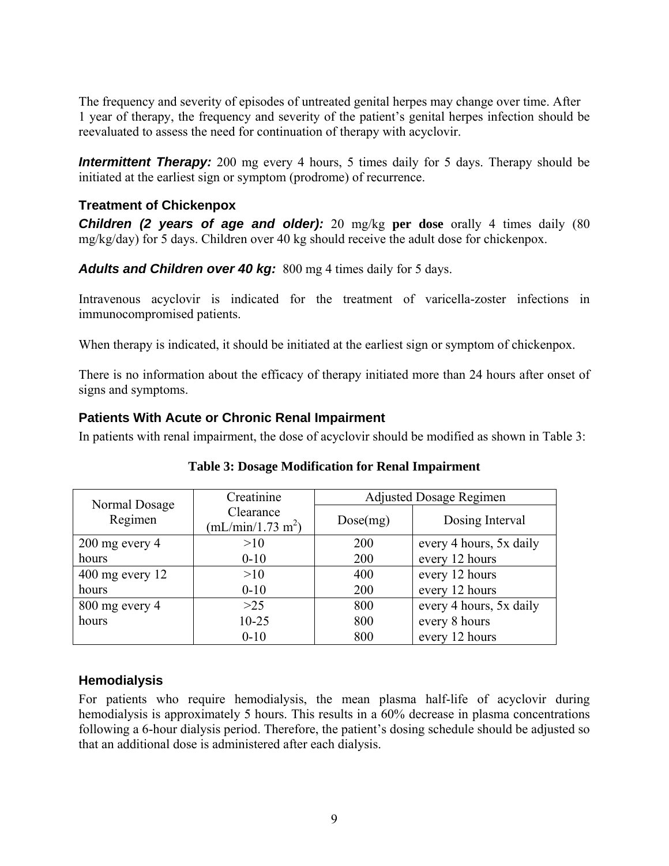The frequency and severity of episodes of untreated genital herpes may change over time. After 1 year of therapy, the frequency and severity of the patient's genital herpes infection should be reevaluated to assess the need for continuation of therapy with acyclovir.

**Intermittent Therapy:** 200 mg every 4 hours, 5 times daily for 5 days. Therapy should be initiated at the earliest sign or symptom (prodrome) of recurrence.

### **Treatment of Chickenpox**

**Children (2 years of age and older):** 20 mg/kg per dose orally 4 times daily (80 mg/kg/day) for 5 days. Children over 40 kg should receive the adult dose for chickenpox.

Adults and Children over 40 kg: 800 mg 4 times daily for 5 days.

Intravenous acyclovir is indicated for the treatment of varicella-zoster infections in immunocompromised patients.

When therapy is indicated, it should be initiated at the earliest sign or symptom of chickenpox.

There is no information about the efficacy of therapy initiated more than 24 hours after onset of signs and symptoms.

### **Patients With Acute or Chronic Renal Impairment**

In patients with renal impairment, the dose of acyclovir should be modified as shown in Table 3:

| Normal Dosage     | Creatinine                                 | Adjusted Dosage Regimen |                         |
|-------------------|--------------------------------------------|-------------------------|-------------------------|
| Regimen           | Clearance<br>(mL/min/1.73 m <sup>2</sup> ) | Dose(mg)                | Dosing Interval         |
| $200$ mg every 4  | >10                                        | 200                     | every 4 hours, 5x daily |
| hours             | $0 - 10$                                   | 200                     | every 12 hours          |
| $400$ mg every 12 | >10                                        | 400                     | every 12 hours          |
| hours             | $0 - 10$                                   | 200                     | every 12 hours          |
| 800 mg every 4    | $>25$                                      | 800                     | every 4 hours, 5x daily |
| hours             | $10 - 25$                                  | 800                     | every 8 hours           |
|                   | $0-10$                                     | 800                     | every 12 hours          |

### **Table 3: Dosage Modification for Renal Impairment**

### **Hemodialysis**

For patients who require hemodialysis, the mean plasma half-life of acyclovir during hemodialysis is approximately 5 hours. This results in a 60% decrease in plasma concentrations following a 6-hour dialysis period. Therefore, the patient's dosing schedule should be adjusted so that an additional dose is administered after each dialysis.